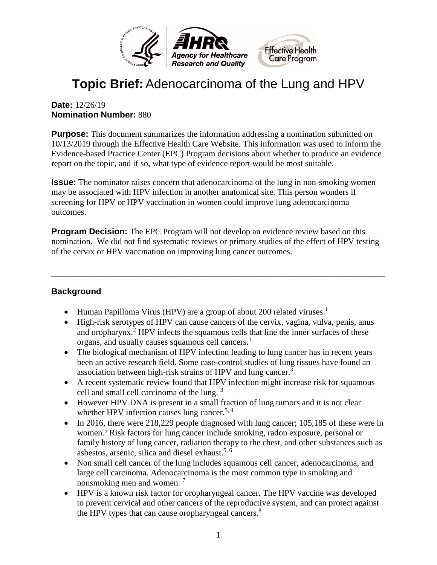

# **Topic Brief:** Adenocarcinoma of the Lung and HPV

#### **Date:** 12/26/19 **Nomination Number:** 880

**Purpose:** This document summarizes the information addressing a nomination submitted on 10/13/2019 through the Effective Health Care Website. This information was used to inform the Evidence-based Practice Center (EPC) Program decisions about whether to produce an evidence report on the topic, and if so, what type of evidence report would be most suitable.

**Issue:** The nominator raises concern that adenocarcinoma of the lung in non-smoking women may be associated with HPV infection in another anatomical site. This person wonders if screening for HPV or HPV vaccination in women could improve lung adenocarcinoma outcomes.

**Program Decision:** The EPC Program will not develop an evidence review based on this nomination. We did not find systematic reviews or primary studies of the effect of HPV testing of the cervix or HPV vaccination on improving lung cancer outcomes.

**\_\_\_\_\_\_\_\_\_\_\_\_\_\_\_\_\_\_\_\_\_\_\_\_\_\_\_\_\_\_\_\_\_\_\_\_\_\_\_\_\_\_\_\_\_\_\_\_\_\_\_\_\_\_\_\_\_\_\_\_**

#### **Background**

- Human Papilloma Virus (HPV) are a group of about 200 related viruses.<sup>1</sup>
- High-risk serotypes of HPV can cause cancers of the cervix, vagina, vulva, penis, anus and oropharynx.<sup>2</sup> HPV infects the squamous cells that line the inner surfaces of these organs, and usually causes squamous cell cancers.<sup>1</sup>
- The biological mechanism of HPV infection leading to lung cancer has in recent years been an active research field. Some case-control studies of lung tissues have found an association between high-risk strains of HPV and lung cancer.<sup>3</sup>
- A recent systematic review found that HPV infection might increase risk for squamous cell and small cell carcinoma of the lung. [3](#page-2-2)
- However HPV DNA is present in a small fraction of lung tumors and it is not clear whether HPV infection causes lung cancer.<sup>[3,](#page-2-2) [4](#page-2-3)</sup>
- In 2016, there were 218,229 people diagnosed with lung cancer; 105,185 of these were in women.<sup>[5](#page-2-4)</sup> Risk factors for lung cancer include smoking, radon exposure, personal or family history of lung cancer, radiation therapy to the chest, and other substances such as asbestos, arsenic, silica and diesel exhaust.<sup>[5,](#page-2-4) [6](#page-2-5)</sup>
- Non small cell cancer of the lung includes squamous cell cancer, adenocarcinoma, and large cell carcinoma. Adenocarcinoma is the most common type in smoking and nonsmoking men and women. [7](#page-2-6)
- HPV is a known risk factor for oropharyngeal cancer. The HPV vaccine was developed to prevent cervical and other cancers of the reproductive system, and can protect against the HPV types that can cause oropharyngeal cancers.<sup>[8](#page-2-7)</sup>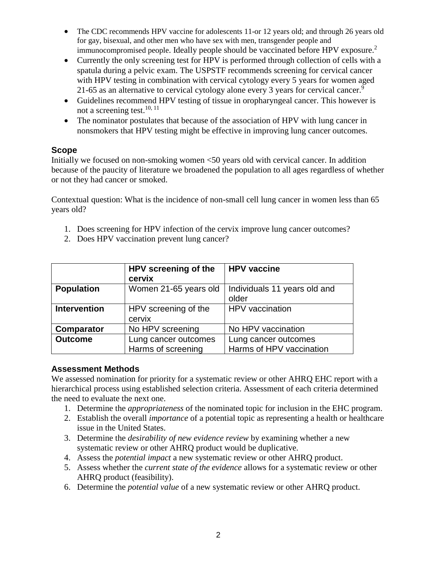- The CDC recommends HPV vaccine for adolescents 11-or 12 years old; and through 26 years old for gay, bisexual, and other men who have sex with men, transgender people and immunocompromised people. Ideally people should be vaccinated before HPV exposure.<sup>2</sup>
- Currently the only screening test for HPV is performed through collection of cells with a spatula during a pelvic exam. The USPSTF recommends screening for cervical cancer with HPV testing in combination with cervical cytology every 5 years for women aged 21-65 as an alternative to cervical cytology alone every 3 years for cervical cancer.<sup>[9](#page-2-8)</sup>
- Guidelines recommend HPV testing of tissue in oropharyngeal cancer. This however is not a screening test.<sup>[10,](#page-2-9) 11</sup>
- The nominator postulates that because of the association of HPV with lung cancer in nonsmokers that HPV testing might be effective in improving lung cancer outcomes.

#### **Scope**

Initially we focused on non-smoking women <50 years old with cervical cancer. In addition because of the paucity of literature we broadened the population to all ages regardless of whether or not they had cancer or smoked.

Contextual question: What is the incidence of non-small cell lung cancer in women less than 65 years old?

- 1. Does screening for HPV infection of the cervix improve lung cancer outcomes?
- 2. Does HPV vaccination prevent lung cancer?

|                     | HPV screening of the<br>cervix             | <b>HPV</b> vaccine                               |
|---------------------|--------------------------------------------|--------------------------------------------------|
| <b>Population</b>   | Women 21-65 years old                      | Individuals 11 years old and<br>older            |
| <b>Intervention</b> | HPV screening of the<br>cervix             | HPV vaccination                                  |
| <b>Comparator</b>   | No HPV screening                           | No HPV vaccination                               |
| <b>Outcome</b>      | Lung cancer outcomes<br>Harms of screening | Lung cancer outcomes<br>Harms of HPV vaccination |

#### **Assessment Methods**

We assessed nomination for priority for a systematic review or other AHRQ EHC report with a hierarchical process using established selection criteria. Assessment of each criteria determined the need to evaluate the next one.

- 1. Determine the *appropriateness* of the nominated topic for inclusion in the EHC program.
- 2. Establish the overall *importance* of a potential topic as representing a health or healthcare issue in the United States.
- 3. Determine the *desirability of new evidence review* by examining whether a new systematic review or other AHRQ product would be duplicative.
- 4. Assess the *potential impact* a new systematic review or other AHRQ product.
- 5. Assess whether the *current state of the evidence* allows for a systematic review or other AHRQ product (feasibility).
- 6. Determine the *potential value* of a new systematic review or other AHRQ product.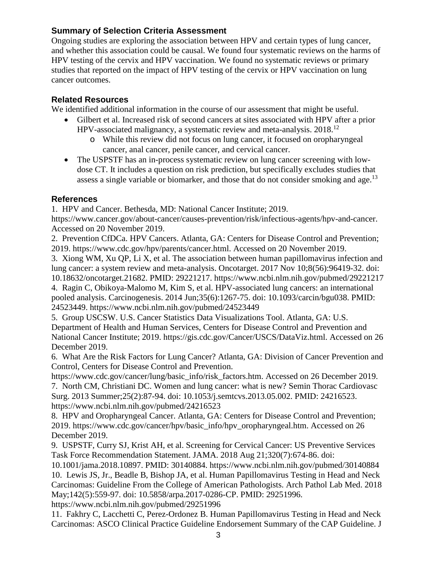#### **Summary of Selection Criteria Assessment**

Ongoing studies are exploring the association between HPV and certain types of lung cancer, and whether this association could be causal. We found four systematic reviews on the harms of HPV testing of the cervix and HPV vaccination. We found no systematic reviews or primary studies that reported on the impact of HPV testing of the cervix or HPV vaccination on lung cancer outcomes.

#### **Related Resources**

We identified additional information in the course of our assessment that might be useful.

- Gilbert et al. Increased risk of second cancers at sites associated with HPV after a prior HPV-associated malignancy, a systematic review and meta-analysis. 2018.[12](#page-3-0) 
	- o While this review did not focus on lung cancer, it focused on oropharyngeal cancer, anal cancer, penile cancer, and cervical cancer.
- The USPSTF has an in-process systematic review on lung cancer screening with lowdose CT. It includes a question on risk prediction, but specifically excludes studies that assess a single variable or biomarker, and those that do not consider smoking and age.<sup>13</sup>

#### **References**

<span id="page-2-0"></span>1. HPV and Cancer. Bethesda, MD: National Cancer Institute; 2019.

https://www.cancer.gov/about-cancer/causes-prevention/risk/infectious-agents/hpv-and-cancer. Accessed on 20 November 2019.

<span id="page-2-1"></span>2. Prevention CfDCa. HPV Cancers. Atlanta, GA: Centers for Disease Control and Prevention; 2019. https://www.cdc.gov/hpv/parents/cancer.html. Accessed on 20 November 2019.

<span id="page-2-2"></span>3. Xiong WM, Xu QP, Li X, et al. The association between human papillomavirus infection and lung cancer: a system review and meta-analysis. Oncotarget. 2017 Nov 10;8(56):96419-32. doi: 10.18632/oncotarget.21682. PMID: 29221217. https://www.ncbi.nlm.nih.gov/pubmed/29221217

<span id="page-2-3"></span>4. Ragin C, Obikoya-Malomo M, Kim S, et al. HPV-associated lung cancers: an international pooled analysis. Carcinogenesis. 2014 Jun;35(6):1267-75. doi: 10.1093/carcin/bgu038. PMID: 24523449. https://www.ncbi.nlm.nih.gov/pubmed/24523449

<span id="page-2-4"></span>5. Group USCSW. U.S. Cancer Statistics Data Visualizations Tool. Atlanta, GA: U.S. Department of Health and Human Services, Centers for Disease Control and Prevention and National Cancer Institute; 2019. https://gis.cdc.gov/Cancer/USCS/DataViz.html. Accessed on 26 December 2019.

<span id="page-2-5"></span>6. What Are the Risk Factors for Lung Cancer? Atlanta, GA: Division of Cancer Prevention and Control, Centers for Disease Control and Prevention.

<span id="page-2-6"></span>https://www.cdc.gov/cancer/lung/basic\_info/risk\_factors.htm. Accessed on 26 December 2019. 7. North CM, Christiani DC. Women and lung cancer: what is new? Semin Thorac Cardiovasc Surg. 2013 Summer;25(2):87-94. doi: 10.1053/j.semtcvs.2013.05.002. PMID: 24216523. https://www.ncbi.nlm.nih.gov/pubmed/24216523

<span id="page-2-7"></span>8. HPV and Oropharyngeal Cancer. Atlanta, GA: Centers for Disease Control and Prevention; 2019. https://www.cdc.gov/cancer/hpv/basic\_info/hpv\_oropharyngeal.htm. Accessed on 26 December 2019.

<span id="page-2-8"></span>9. USPSTF, Curry SJ, Krist AH, et al. Screening for Cervical Cancer: US Preventive Services Task Force Recommendation Statement. JAMA. 2018 Aug 21;320(7):674-86. doi:

<span id="page-2-9"></span>10.1001/jama.2018.10897. PMID: 30140884. https://www.ncbi.nlm.nih.gov/pubmed/30140884 10. Lewis JS, Jr., Beadle B, Bishop JA, et al. Human Papillomavirus Testing in Head and Neck Carcinomas: Guideline From the College of American Pathologists. Arch Pathol Lab Med. 2018 May;142(5):559-97. doi: 10.5858/arpa.2017-0286-CP. PMID: 29251996.

https://www.ncbi.nlm.nih.gov/pubmed/29251996

<span id="page-2-10"></span>11. Fakhry C, Lacchetti C, Perez-Ordonez B. Human Papillomavirus Testing in Head and Neck Carcinomas: ASCO Clinical Practice Guideline Endorsement Summary of the CAP Guideline. J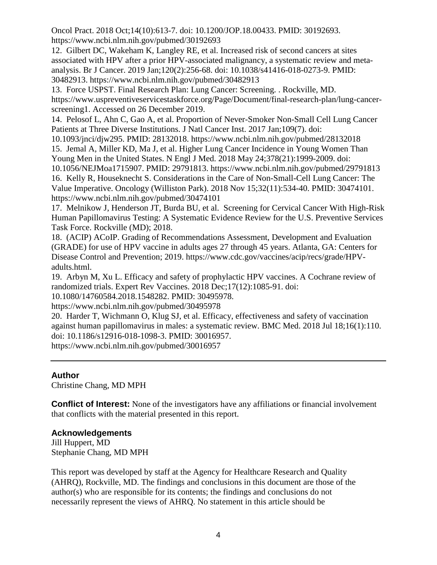Oncol Pract. 2018 Oct;14(10):613-7. doi: 10.1200/JOP.18.00433. PMID: 30192693. https://www.ncbi.nlm.nih.gov/pubmed/30192693

<span id="page-3-0"></span>12. Gilbert DC, Wakeham K, Langley RE, et al. Increased risk of second cancers at sites associated with HPV after a prior HPV-associated malignancy, a systematic review and metaanalysis. Br J Cancer. 2019 Jan;120(2):256-68. doi: 10.1038/s41416-018-0273-9. PMID: 30482913. https://www.ncbi.nlm.nih.gov/pubmed/30482913

<span id="page-3-1"></span>13. Force USPST. Final Research Plan: Lung Cancer: Screening. . Rockville, MD. https://www.uspreventiveservicestaskforce.org/Page/Document/final-research-plan/lung-cancerscreening1. Accessed on 26 December 2019.

<span id="page-3-2"></span>14. Pelosof L, Ahn C, Gao A, et al. Proportion of Never-Smoker Non-Small Cell Lung Cancer Patients at Three Diverse Institutions. J Natl Cancer Inst. 2017 Jan;109(7). doi:

<span id="page-3-3"></span>10.1093/jnci/djw295. PMID: 28132018. https://www.ncbi.nlm.nih.gov/pubmed/28132018 15. Jemal A, Miller KD, Ma J, et al. Higher Lung Cancer Incidence in Young Women Than Young Men in the United States. N Engl J Med. 2018 May 24;378(21):1999-2009. doi:

10.1056/NEJMoa1715907. PMID: 29791813. https://www.ncbi.nlm.nih.gov/pubmed/29791813

<span id="page-3-4"></span>16. Kelly R, Houseknecht S. Considerations in the Care of Non-Small-Cell Lung Cancer: The Value Imperative. Oncology (Williston Park). 2018 Nov 15;32(11):534-40. PMID: 30474101. https://www.ncbi.nlm.nih.gov/pubmed/30474101

<span id="page-3-5"></span>17. Melnikow J, Henderson JT, Burda BU, et al. Screening for Cervical Cancer With High-Risk Human Papillomavirus Testing: A Systematic Evidence Review for the U.S. Preventive Services Task Force. Rockville (MD); 2018.

<span id="page-3-6"></span>18. (ACIP) ACoIP. Grading of Recommendations Assessment, Development and Evaluation (GRADE) for use of HPV vaccine in adults ages 27 through 45 years. Atlanta, GA: Centers for Disease Control and Prevention; 2019. https://www.cdc.gov/vaccines/acip/recs/grade/HPVadults.html.

<span id="page-3-7"></span>19. Arbyn M, Xu L. Efficacy and safety of prophylactic HPV vaccines. A Cochrane review of randomized trials. Expert Rev Vaccines. 2018 Dec;17(12):1085-91. doi:

10.1080/14760584.2018.1548282. PMID: 30495978.

https://www.ncbi.nlm.nih.gov/pubmed/30495978

<span id="page-3-8"></span>20. Harder T, Wichmann O, Klug SJ, et al. Efficacy, effectiveness and safety of vaccination against human papillomavirus in males: a systematic review. BMC Med. 2018 Jul 18;16(1):110. doi: 10.1186/s12916-018-1098-3. PMID: 30016957.

https://www.ncbi.nlm.nih.gov/pubmed/30016957

#### **Author**

Christine Chang, MD MPH

**Conflict of Interest:** None of the investigators have any affiliations or financial involvement that conflicts with the material presented in this report.

#### **Acknowledgements**

Jill Huppert, MD Stephanie Chang, MD MPH

This report was developed by staff at the Agency for Healthcare Research and Quality (AHRQ), Rockville, MD. The findings and conclusions in this document are those of the author(s) who are responsible for its contents; the findings and conclusions do not necessarily represent the views of AHRQ. No statement in this article should be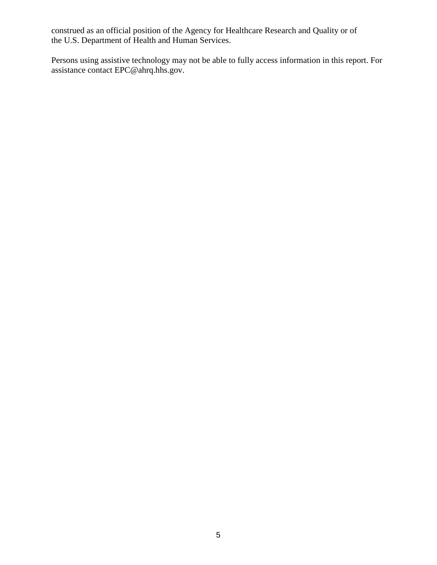construed as an official position of the Agency for Healthcare Research and Quality or of the U.S. Department of Health and Human Services.

Persons using assistive technology may not be able to fully access information in this report. For assistance contact EPC@ahrq.hhs.gov.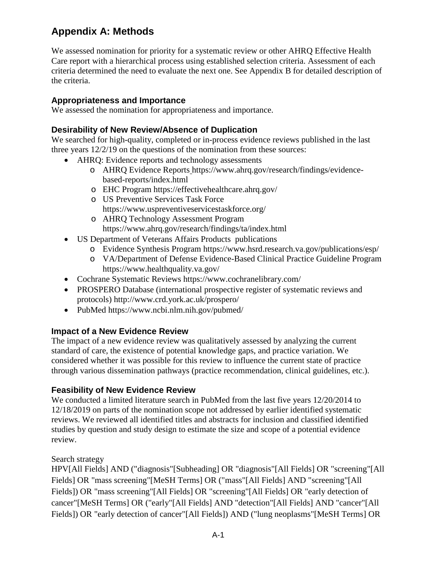### **Appendix A: Methods**

We assessed nomination for priority for a systematic review or other AHRQ Effective Health Care report with a hierarchical process using established selection criteria. Assessment of each criteria determined the need to evaluate the next one. See Appendix B for detailed description of the criteria.

#### **Appropriateness and Importance**

We assessed the nomination for appropriateness and importance.

#### **Desirability of New Review/Absence of Duplication**

We searched for high-quality, completed or in-process evidence reviews published in the last three years 12/2/19 on the questions of the nomination from these sources:

- AHRQ: Evidence reports and technology assessments
	- o AHRQ Evidence Reports https://www.ahrq.gov/research/findings/evidencebased-reports/index.html
	- o EHC Program https://effectivehealthcare.ahrq.gov/
	- o US Preventive Services Task Force https://www.uspreventiveservicestaskforce.org/
	- o AHRQ Technology Assessment Program https://www.ahrq.gov/research/findings/ta/index.html
- US Department of Veterans Affairs Products publications
	- o Evidence Synthesis Program https://www.hsrd.research.va.gov/publications/esp/
	- o VA/Department of Defense Evidence-Based Clinical Practice Guideline Program https://www.healthquality.va.gov/
- Cochrane Systematic Reviews https://www.cochranelibrary.com/
- PROSPERO Database (international prospective register of systematic reviews and protocols) http://www.crd.york.ac.uk/prospero/
- PubMed https://www.ncbi.nlm.nih.gov/pubmed/

#### **Impact of a New Evidence Review**

The impact of a new evidence review was qualitatively assessed by analyzing the current standard of care, the existence of potential knowledge gaps, and practice variation. We considered whether it was possible for this review to influence the current state of practice through various dissemination pathways (practice recommendation, clinical guidelines, etc.).

#### **Feasibility of New Evidence Review**

We conducted a limited literature search in PubMed from the last five years 12/20/2014 to 12/18/2019 on parts of the nomination scope not addressed by earlier identified systematic reviews. We reviewed all identified titles and abstracts for inclusion and classified identified studies by question and study design to estimate the size and scope of a potential evidence review.

#### Search strategy

HPV[All Fields] AND ("diagnosis"[Subheading] OR "diagnosis"[All Fields] OR "screening"[All Fields] OR "mass screening"[MeSH Terms] OR ("mass"[All Fields] AND "screening"[All Fields]) OR "mass screening"[All Fields] OR "screening"[All Fields] OR "early detection of cancer"[MeSH Terms] OR ("early"[All Fields] AND "detection"[All Fields] AND "cancer"[All Fields]) OR "early detection of cancer"[All Fields]) AND ("lung neoplasms"[MeSH Terms] OR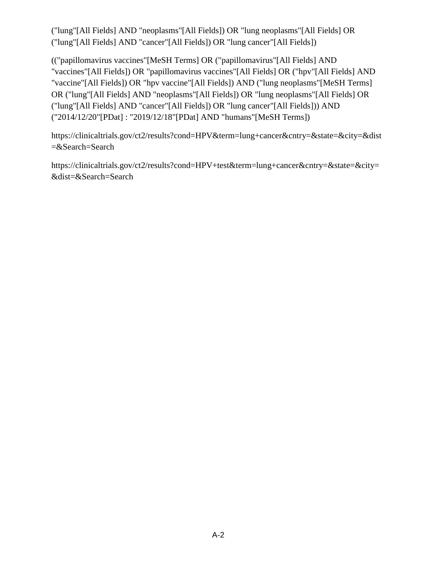("lung"[All Fields] AND "neoplasms"[All Fields]) OR "lung neoplasms"[All Fields] OR ("lung"[All Fields] AND "cancer"[All Fields]) OR "lung cancer"[All Fields])

(("papillomavirus vaccines"[MeSH Terms] OR ("papillomavirus"[All Fields] AND "vaccines"[All Fields]) OR "papillomavirus vaccines"[All Fields] OR ("hpv"[All Fields] AND "vaccine"[All Fields]) OR "hpv vaccine"[All Fields]) AND ("lung neoplasms"[MeSH Terms] OR ("lung"[All Fields] AND "neoplasms"[All Fields]) OR "lung neoplasms"[All Fields] OR ("lung"[All Fields] AND "cancer"[All Fields]) OR "lung cancer"[All Fields])) AND ("2014/12/20"[PDat] : "2019/12/18"[PDat] AND "humans"[MeSH Terms])

https://clinicaltrials.gov/ct2/results?cond=HPV&term=lung+cancer&cntry=&state=&city=&dist =&Search=Search

https://clinicaltrials.gov/ct2/results?cond=HPV+test&term=lung+cancer&cntry=&state=&city= &dist=&Search=Search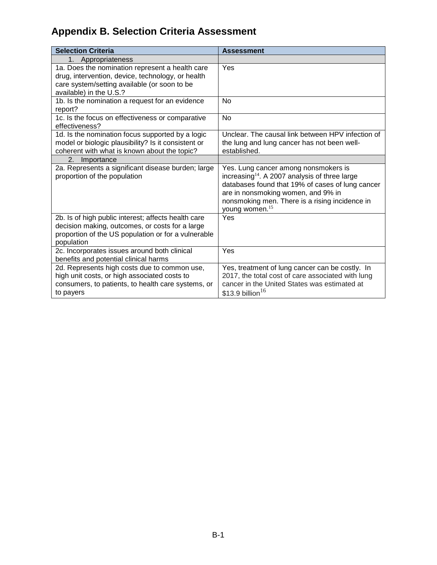## **Appendix B. Selection Criteria Assessment**

| <b>Selection Criteria</b>                                                                                                                                                       | <b>Assessment</b>                                                                                                                                                                                                                                                  |
|---------------------------------------------------------------------------------------------------------------------------------------------------------------------------------|--------------------------------------------------------------------------------------------------------------------------------------------------------------------------------------------------------------------------------------------------------------------|
| 1 <sup>1</sup><br>Appropriateness                                                                                                                                               |                                                                                                                                                                                                                                                                    |
| 1a. Does the nomination represent a health care<br>drug, intervention, device, technology, or health<br>care system/setting available (or soon to be<br>available) in the U.S.? | Yes                                                                                                                                                                                                                                                                |
| 1b. Is the nomination a request for an evidence<br>report?                                                                                                                      | <b>No</b>                                                                                                                                                                                                                                                          |
| 1c. Is the focus on effectiveness or comparative<br>effectiveness?                                                                                                              | <b>No</b>                                                                                                                                                                                                                                                          |
| 1d. Is the nomination focus supported by a logic<br>model or biologic plausibility? Is it consistent or<br>coherent with what is known about the topic?                         | Unclear. The causal link between HPV infection of<br>the lung and lung cancer has not been well-<br>established.                                                                                                                                                   |
| 2.<br>Importance                                                                                                                                                                |                                                                                                                                                                                                                                                                    |
| 2a. Represents a significant disease burden; large<br>proportion of the population                                                                                              | Yes. Lung cancer among nonsmokers is<br>increasing $14$ . A 2007 analysis of three large<br>databases found that 19% of cases of lung cancer<br>are in nonsmoking women, and 9% in<br>nonsmoking men. There is a rising incidence in<br>young women. <sup>15</sup> |
| 2b. Is of high public interest; affects health care<br>decision making, outcomes, or costs for a large<br>proportion of the US population or for a vulnerable<br>population     | Yes                                                                                                                                                                                                                                                                |
| 2c. Incorporates issues around both clinical<br>benefits and potential clinical harms                                                                                           | Yes                                                                                                                                                                                                                                                                |
| 2d. Represents high costs due to common use,<br>high unit costs, or high associated costs to<br>consumers, to patients, to health care systems, or<br>to payers                 | Yes, treatment of lung cancer can be costly. In<br>2017, the total cost of care associated with lung<br>cancer in the United States was estimated at<br>$$13.9$ billion <sup>16</sup>                                                                              |